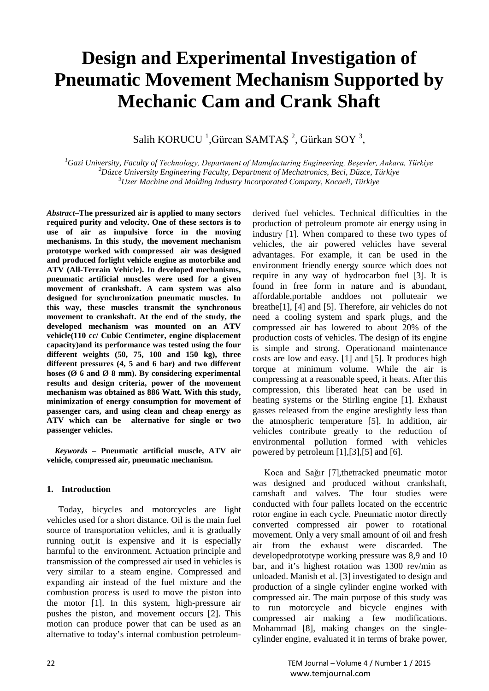# **Design and Experimental Investigation of Pneumatic Movement Mechanism Supported by Mechanic Cam and Crank Shaft**

Salih KORUCU <sup>1</sup>, Gürcan SAMTAŞ<sup>2</sup>, Gürkan SOY<sup>3</sup>,

*1 Gazi University, Faculty of Technology, Department of Manufacturing Engineering, Beşevler, Ankara, Türkiye <sup>2</sup> Düzce University Engineering Faculty, Department of Mechatronics, Beci, Düzce, Türkiye <sup>3</sup> Uzer Machine and Molding Industry Incorporated Company, Kocaeli, Türkiye*

*Abstract–***The pressurized air is applied to many sectors required purity and velocity. One of these sectors is to use of air as impulsive force in the moving mechanisms. In this study, the movement mechanism prototype worked with compressed air was designed and produced forlight vehicle engine as motorbike and ATV (All-Terrain Vehicle). In developed mechanisms, pneumatic artificial muscles were used for a given movement of crankshaft. A cam system was also designed for synchronization pneumatic muscles. In this way, these muscles transmit the synchronous movement to crankshaft. At the end of the study, the developed mechanism was mounted on an ATV vehicle(110 cc/ Cubic Centimeter, engine displacement capacity)and its performance was tested using the four different weights (50, 75, 100 and 150 kg), three different pressures (4, 5 and 6 bar) and two different hoses (Ø 6 and Ø 8 mm). By considering experimental results and design criteria, power of the movement mechanism was obtained as 886 Watt. With this study, minimization of energy consumption for movement of passenger cars, and using clean and cheap energy as ATV which can be alternative for single or two passenger vehicles.**

*Keywords –* **Pneumatic artificial muscle, ATV air vehicle, compressed air, pneumatic mechanism.**

## **1. Introduction**

Today, bicycles and motorcycles are light vehicles used for a short distance. Oil is the main fuel source of transportation vehicles, and it is gradually running out,it is expensive and it is especially harmful to the environment. Actuation principle and transmission of the compressed air used in vehicles is very similar to a steam engine. Compressed and expanding air instead of the fuel mixture and the combustion process is used to move the piston into the motor [1]. In this system, high-pressure air pushes the piston, and movement occurs [2]. This motion can produce power that can be used as an alternative to today's internal combustion petroleumderived fuel vehicles. Technical difficulties in the production of petroleum promote air energy using in industry [1]. When compared to these two types of vehicles, the air powered vehicles have several advantages. For example, it can be used in the environment friendly energy source which does not require in any way of hydrocarbon fuel [3]. It is found in free form in nature and is abundant, affordable,portable anddoes not polluteair we breathe[1], [4] and [5]. Therefore, air vehicles do not need a cooling system and spark plugs, and the compressed air has lowered to about 20% of the production costs of vehicles. The design of its engine is simple and strong. Operationand maintenance costs are low and easy. [1] and [5]. It produces high torque at minimum volume. While the air is compressing at a reasonable speed, it heats. After this compression, this liberated heat can be used in heating systems or the Stirling engine [1]. Exhaust gasses released from the engine areslightly less than the atmospheric temperature [5]. In addition, air vehicles contribute greatly to the reduction of environmental pollution formed with vehicles powered by petroleum [1],[3],[5] and [6].

Koca and Sağır [7],thetracked pneumatic motor was designed and produced without crankshaft, camshaft and valves. The four studies were conducted with four pallets located on the eccentric rotor engine in each cycle. Pneumatic motor directly converted compressed air power to rotational movement. Only a very small amount of oil and fresh air from the exhaust were discarded. The developedprototype working pressure was 8,9 and 10 bar, and it's highest rotation was 1300 rev/min as unloaded. Manish et al. [3] investigated to design and production of a single cylinder engine worked with compressed air. The main purpose of this study was to run motorcycle and bicycle engines with compressed air making a few modifications. Mohammad [8], making changes on the singlecylinder engine, evaluated it in terms of brake power,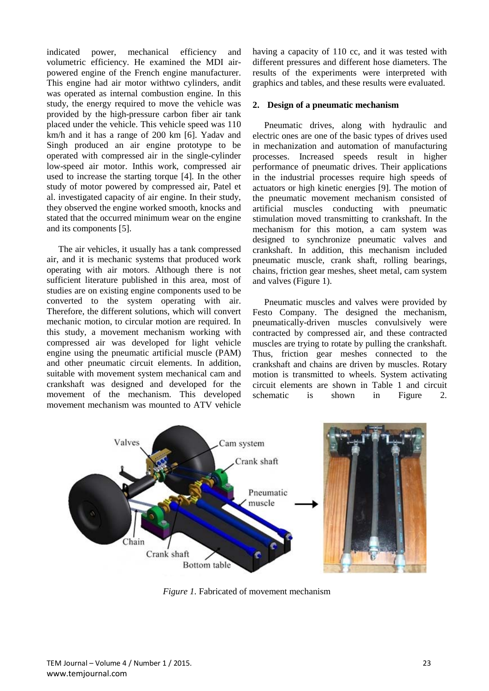indicated power, mechanical efficiency and volumetric efficiency. He examined the MDI airpowered engine of the French engine manufacturer. This engine had air motor withtwo cylinders, andit was operated as internal combustion engine. In this study, the energy required to move the vehicle was provided by the high-pressure carbon fiber air tank placed under the vehicle. This vehicle speed was 110 km/h and it has a range of 200 km [6]. Yadav and Singh produced an air engine prototype to be operated with compressed air in the single-cylinder low-speed air motor. Inthis work, compressed air used to increase the starting torque [4]. In the other study of motor powered by compressed air, Patel et al. investigated capacity of air engine. In their study, they observed the engine worked smooth, knocks and stated that the occurred minimum wear on the engine and its components [5].

The air vehicles, it usually has a tank compressed air, and it is mechanic systems that produced work operating with air motors. Although there is not sufficient literature published in this area, most of studies are on existing engine components used to be converted to the system operating with air. Therefore, the different solutions, which will convert mechanic motion, to circular motion are required. In this study, a movement mechanism working with compressed air was developed for light vehicle engine using the pneumatic artificial muscle (PAM) and other pneumatic circuit elements. In addition, suitable with movement system mechanical cam and crankshaft was designed and developed for the movement of the mechanism. This developed movement mechanism was mounted to ATV vehicle

having a capacity of 110 cc, and it was tested with different pressures and different hose diameters. The results of the experiments were interpreted with graphics and tables, and these results were evaluated.

## **2. Design of a pneumatic mechanism**

Pneumatic drives, along with hydraulic and electric ones are one of the basic types of drives used in mechanization and automation of manufacturing processes. Increased speeds result in higher performance of pneumatic drives. Their applications in the industrial processes require high speeds of actuators or high kinetic energies [9]. The motion of the pneumatic movement mechanism consisted of artificial muscles conducting with pneumatic stimulation moved transmitting to crankshaft. In the mechanism for this motion, a cam system was designed to synchronize pneumatic valves and crankshaft. In addition, this mechanism included pneumatic muscle, crank shaft, rolling bearings, chains, friction gear meshes, sheet metal, cam system and valves (Figure 1).

Pneumatic muscles and valves were provided by Festo Company. The designed the mechanism, pneumatically-driven muscles convulsively were contracted by compressed air, and these contracted muscles are trying to rotate by pulling the crankshaft. Thus, friction gear meshes connected to the crankshaft and chains are driven by muscles. Rotary motion is transmitted to wheels. System activating circuit elements are shown in Table 1 and circuit schematic is shown in Figure 2.



*Figure 1.* Fabricated of movement mechanism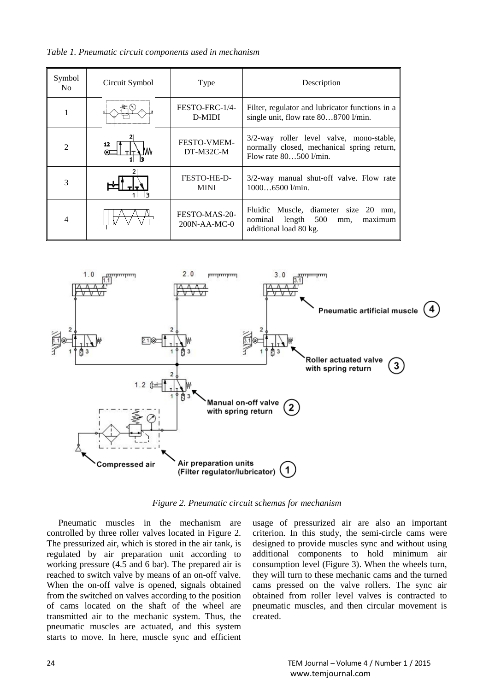*Table 1. Pneumatic circuit components used in mechanism*

| Symbol<br>No.  | Circuit Symbol | Type                          | Description                                                                                                        |  |  |  |  |
|----------------|----------------|-------------------------------|--------------------------------------------------------------------------------------------------------------------|--|--|--|--|
| 1              |                | FESTO-FRC-1/4-<br>D-MIDI      | Filter, regulator and lubricator functions in a<br>single unit, flow rate 808700 l/min.                            |  |  |  |  |
| $\overline{2}$ |                | FESTO-VMEM-<br>DT-M32C-M      | 3/2-way roller level valve, mono-stable,<br>normally closed, mechanical spring return,<br>Flow rate $80500$ l/min. |  |  |  |  |
| 3              |                | FESTO-HE-D-<br><b>MINI</b>    | 3/2-way manual shut-off valve. Flow rate<br>$10006500$ $1/min.$                                                    |  |  |  |  |
| 4              |                | FESTO-MAS-20-<br>200N-AA-MC-0 | Fluidic Muscle, diameter size 20<br>mm,<br>nominal length 500<br>maximum<br>mm,<br>additional load 80 kg.          |  |  |  |  |



*Figure 2. Pneumatic circuit schemas for mechanism*

Pneumatic muscles in the mechanism are controlled by three roller valves located in Figure 2. The pressurized air, which is stored in the air tank, is regulated by air preparation unit according to working pressure (4.5 and 6 bar). The prepared air is reached to switch valve by means of an on-off valve. When the on-off valve is opened, signals obtained from the switched on valves according to the position of cams located on the shaft of the wheel are transmitted air to the mechanic system. Thus, the pneumatic muscles are actuated, and this system starts to move. In here, muscle sync and efficient

usage of pressurized air are also an important criterion. In this study, the semi-circle cams were designed to provide muscles sync and without using additional components to hold minimum air consumption level (Figure 3). When the wheels turn, they will turn to these mechanic cams and the turned cams pressed on the valve rollers. The sync air obtained from roller level valves is contracted to pneumatic muscles, and then circular movement is created.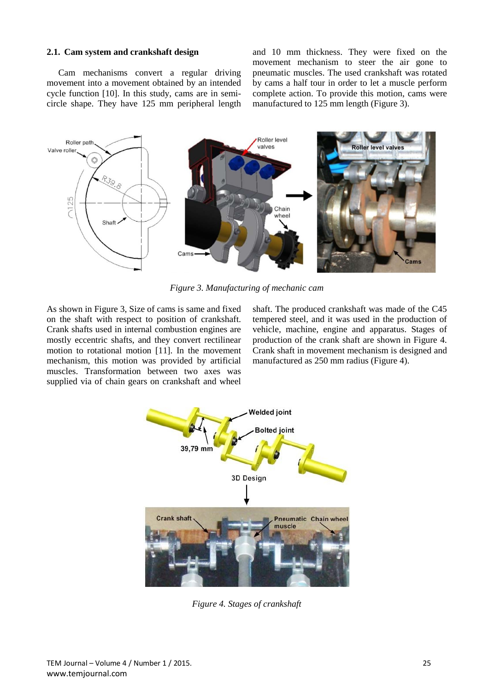## **2.1. Cam system and crankshaft design**

Cam mechanisms convert a regular driving movement into a movement obtained by an intended cycle function [10]. In this study, cams are in semicircle shape. They have 125 mm peripheral length and 10 mm thickness. They were fixed on the movement mechanism to steer the air gone to pneumatic muscles. The used crankshaft was rotated by cams a half tour in order to let a muscle perform complete action. To provide this motion, cams were manufactured to 125 mm length (Figure 3).



*Figure 3. Manufacturing of mechanic cam*

As shown in Figure 3, Size of cams is same and fixed on the shaft with respect to position of crankshaft. Crank shafts used in internal combustion engines are mostly eccentric shafts, and they convert rectilinear motion to rotational motion [11]. In the movement mechanism, this motion was provided by artificial muscles. Transformation between two axes was supplied via of chain gears on crankshaft and wheel

shaft. The produced crankshaft was made of the C45 tempered steel, and it was used in the production of vehicle, machine, engine and apparatus. Stages of production of the crank shaft are shown in Figure 4. Crank shaft in movement mechanism is designed and manufactured as 250 mm radius (Figure 4).



*Figure 4. Stages of crankshaft*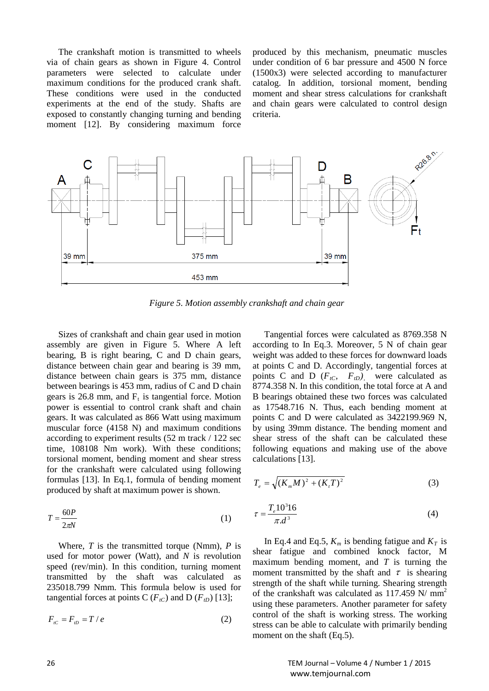The crankshaft motion is transmitted to wheels via of chain gears as shown in Figure 4. Control parameters were selected to calculate under maximum conditions for the produced crank shaft. These conditions were used in the conducted experiments at the end of the study. Shafts are exposed to constantly changing turning and bending moment [12]. By considering maximum force produced by this mechanism, pneumatic muscles under condition of 6 bar pressure and 4500 N force (1500x3) were selected according to manufacturer catalog. In addition, torsional moment, bending moment and shear stress calculations for crankshaft and chain gears were calculated to control design criteria.



*Figure 5. Motion assembly crankshaft and chain gear*

Sizes of crankshaft and chain gear used in motion assembly are given in Figure 5. Where A left bearing, B is right bearing, C and D chain gears, distance between chain gear and bearing is 39 mm, distance between chain gears is 375 mm, distance between bearings is 453 mm, radius of C and D chain gears is 26.8 mm, and  $F_t$  is tangential force. Motion power is essential to control crank shaft and chain gears. It was calculated as 866 Watt using maximum muscular force (4158 N) and maximum conditions according to experiment results (52 m track / 122 sec time, 108108 Nm work). With these conditions; torsional moment, bending moment and shear stress for the crankshaft were calculated using following formulas [13]. In Eq.1, formula of bending moment produced by shaft at maximum power is shown.

$$
T = \frac{60P}{2\pi N} \tag{1}
$$

Where, *T* is the transmitted torque (Nmm), *P* is used for motor power (Watt), and *N* is revolution speed (rev/min). In this condition, turning moment transmitted by the shaft was calculated as 235018.799 Nmm. This formula below is used for tangential forces at points C  $(F_{tC})$  and D  $(F_{tD})$  [13];

$$
F_{i} = F_{i} = T / e \tag{2}
$$

Tangential forces were calculated as 8769.358 N according to In Eq.3. Moreover, 5 N of chain gear weight was added to these forces for downward loads at points C and D. Accordingly, tangential forces at points C and D  $(F_{tC}, F_{tD})$ , were calculated as 8774.358 N. In this condition, the total force at A and B bearings obtained these two forces was calculated as 17548.716 N. Thus, each bending moment at points C and D were calculated as 3422199.969 N, by using 39mm distance. The bending moment and shear stress of the shaft can be calculated these following equations and making use of the above calculations [13].

$$
T_e = \sqrt{(K_m M)^2 + (K_t T)^2}
$$
 (3)

$$
\tau = \frac{T_e 10^3 16}{\pi . d^3} \tag{4}
$$

In Eq.4 and Eq.5,  $K_m$  is bending fatigue and  $K_T$  is shear fatigue and combined knock factor, M maximum bending moment, and *T* is turning the moment transmitted by the shaft and  $\tau$  is shearing strength of the shaft while turning. Shearing strength of the crankshaft was calculated as 117.459 N/ mm<sup>2</sup> using these parameters. Another parameter for safety control of the shaft is working stress. The working stress can be able to calculate with primarily bending moment on the shaft (Eq.5).

26 TEM Journal – Volume 4 / Number 1 / 2015 www.temjournal.com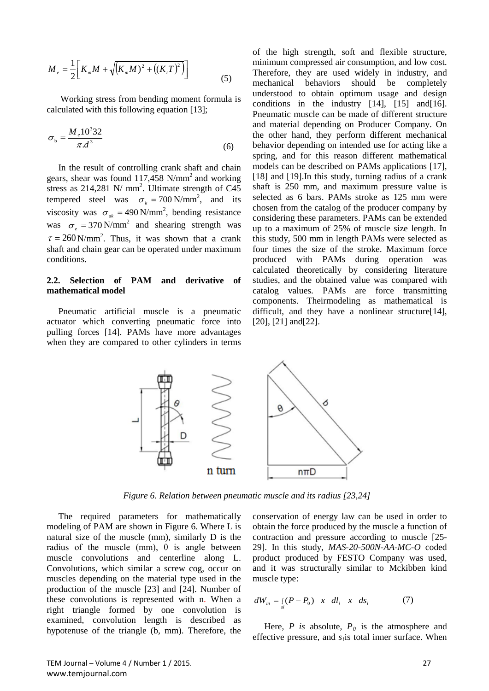$$
M_e = \frac{1}{2} \bigg[ K_m M + \sqrt{(K_m M)^2 + ((K_i T)^2)} \bigg]
$$
 (5)

Working stress from bending moment formula is calculated with this following equation [13];

$$
\sigma_{b} = \frac{M_{e} 10^{3} 32}{\pi a^{3}}
$$
\n(6)

In the result of controlling crank shaft and chain gears, shear was found  $117,458$  N/mm<sup>2</sup> and working stress as  $214,281$  N/ mm<sup>2</sup>. Ultimate strength of C45 tempered steel was  $\sigma_k = 700 \text{ N/mm}^2$ , and its viscosity was  $\sigma_{ak} = 490 \text{ N/mm}^2$ , bending resistance was  $\sigma$ <sub>*e*</sub> = 370 N/mm<sup>2</sup> and shearing strength was  $\tau = 260 \text{ N/mm}^2$ . Thus, it was shown that a crank shaft and chain gear can be operated under maximum conditions.

## **2.2. Selection of PAM and derivative of mathematical model**

Pneumatic artificial muscle is a pneumatic actuator which converting pneumatic force into pulling forces [14]. PAMs have more advantages when they are compared to other cylinders in terms of the high strength, soft and flexible structure, minimum compressed air consumption, and low cost. Therefore, they are used widely in industry, and mechanical behaviors should be completely understood to obtain optimum usage and design conditions in the industry [14], [15] and [16]. Pneumatic muscle can be made of different structure and material depending on Producer Company. On the other hand, they perform different mechanical behavior depending on intended use for acting like a spring, and for this reason different mathematical models can be described on PAMs applications [17], [18] and [19]. In this study, turning radius of a crank shaft is 250 mm, and maximum pressure value is selected as 6 bars. PAMs stroke as 125 mm were chosen from the catalog of the producer company by considering these parameters. PAMs can be extended up to a maximum of 25% of muscle size length. In this study, 500 mm in length PAMs were selected as four times the size of the stroke. Maximum force produced with PAMs during operation was calculated theoretically by considering literature studies, and the obtained value was compared with catalog values. PAMs are force transmitting components. Theirmodeling as mathematical is difficult, and they have a nonlinear structure<sup>[14]</sup>, [20], [21] and [22].



*Figure 6. Relation between pneumatic muscle and its radius [23,24]*

The required parameters for mathematically modeling of PAM are shown in Figure 6. Where L is natural size of the muscle (mm), similarly D is the radius of the muscle (mm),  $\theta$  is angle between muscle convolutions and centerline along L. Convolutions, which similar a screw cog, occur on muscles depending on the material type used in the production of the muscle [23] and [24]. Number of these convolutions is represented with n. When a right triangle formed by one convolution is examined, convolution length is described as hypotenuse of the triangle (b, mm). Therefore, the conservation of energy law can be used in order to obtain the force produced by the muscle a function of contraction and pressure according to muscle [25- 29]. In this study, *MAS-20-500N-AA-MC-O* coded product produced by FESTO Company was used, and it was structurally similar to Mckibben kind muscle type:

$$
dW_{in} = \int_{si} (P - P_0) \quad x \quad dl_i \quad x \quad ds_i \tag{7}
$$

Here, *P* is absolute,  $P_0$  is the atmosphere and effective pressure, and *s<sub>i</sub>* is total inner surface. When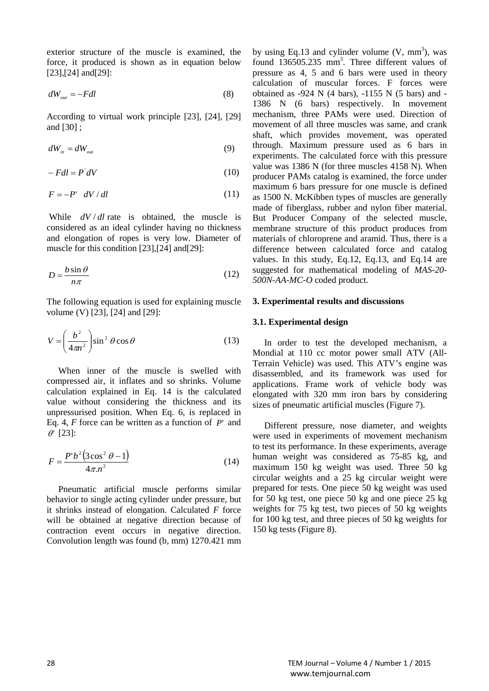exterior structure of the muscle is examined, the force, it produced is shown as in equation below [23], [24] and [29]:

$$
dW_{\text{out}} = -Fdl \tag{8}
$$

According to virtual work principle [23], [24], [29] and [30] ;

$$
dW_{in} = dW_{out} \tag{9}
$$

$$
-Fdl = P'dV \tag{10}
$$

$$
F = -P' \, dV/dl \tag{11}
$$

While  $dV/dl$  rate is obtained, the muscle is considered as an ideal cylinder having no thickness and elongation of ropes is very low. Diameter of muscle for this condition [23],[24] and[29]:

$$
D = \frac{b \sin \theta}{n\pi} \tag{12}
$$

The following equation is used for explaining muscle volume (V) [23], [24] and [29]:

$$
V = \left(\frac{b^2}{4\pi n^2}\right) \sin^2 \theta \cos \theta \tag{13}
$$

When inner of the muscle is swelled with compressed air, it inflates and so shrinks. Volume calculation explained in Eq. 14 is the calculated value without considering the thickness and its unpressurised position. When Eq. 6, is replaced in Eq. 4, *F* force can be written as a function of *P*' and  $\theta$ ' [23]:

$$
F = \frac{P' b^2 (3 \cos^2 \theta - 1)}{4 \pi n^2}
$$
 (14)

Pneumatic artificial muscle performs similar behavior to single acting cylinder under pressure, but it shrinks instead of elongation. Calculated *F* force will be obtained at negative direction because of contraction event occurs in negative direction. Convolution length was found (b, mm) 1270.421 mm by using Eq.13 and cylinder volume  $(V, \text{mm}^3)$ , was found 136505.235 mm<sup>3</sup>. Three different values of pressure as 4, 5 and 6 bars were used in theory calculation of muscular forces. F forces were obtained as -924 N (4 bars), -1155 N (5 bars) and - 1386 N (6 bars) respectively. In movement mechanism, three PAMs were used. Direction of movement of all three muscles was same, and crank shaft, which provides movement, was operated through. Maximum pressure used as 6 bars in experiments. The calculated force with this pressure value was 1386 N (for three muscles 4158 N). When producer PAMs catalog is examined, the force under maximum 6 bars pressure for one muscle is defined as 1500 N. McKibben types of muscles are generally made of fiberglass, rubber and nylon fiber material. But Producer Company of the selected muscle, membrane structure of this product produces from materials of chloroprene and aramid. Thus, there is a difference between calculated force and catalog values. In this study, Eq.12, Eq.13, and Eq.14 are suggested for mathematical modeling of *MAS-20- 500N-AA-MC-O* coded product.

#### **3. Experimental results and discussions**

#### **3.1. Experimental design**

In order to test the developed mechanism, a Mondial at 110 cc motor power small ATV (All-Terrain Vehicle) was used. This ATV's engine was disassembled, and its framework was used for applications. Frame work of vehicle body was elongated with 320 mm iron bars by considering sizes of pneumatic artificial muscles (Figure 7).

Different pressure, nose diameter, and weights were used in experiments of movement mechanism to test its performance. In these experiments, average human weight was considered as 75-85 kg, and maximum 150 kg weight was used. Three 50 kg circular weights and a 25 kg circular weight were prepared for tests. One piece 50 kg weight was used for 50 kg test, one piece 50 kg and one piece 25 kg weights for 75 kg test, two pieces of 50 kg weights for 100 kg test, and three pieces of 50 kg weights for 150 kg tests (Figure 8).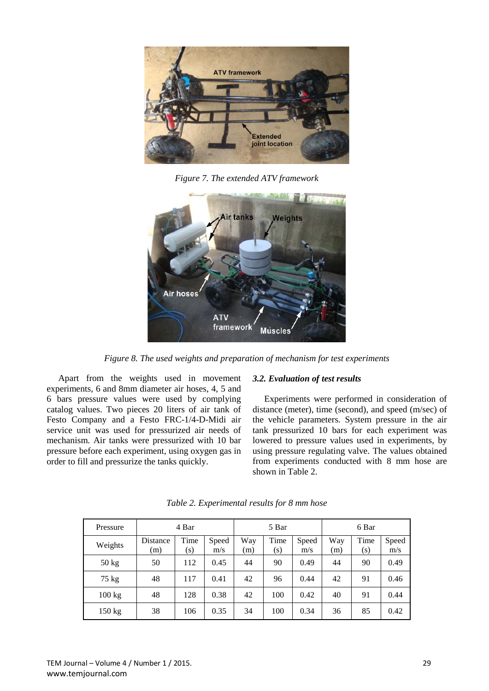

*Figure 7. The extended ATV framework*



*Figure 8. The used weights and preparation of mechanism for test experiments*

Apart from the weights used in movement experiments, 6 and 8mm diameter air hoses, 4, 5 and 6 bars pressure values were used by complying catalog values. Two pieces 20 liters of air tank of Festo Company and a Festo FRC-1/4-D-Midi air service unit was used for pressurized air needs of mechanism. Air tanks were pressurized with 10 bar pressure before each experiment, using oxygen gas in order to fill and pressurize the tanks quickly.

#### *3.2. Evaluation of test results*

Experiments were performed in consideration of distance (meter), time (second), and speed (m/sec) of the vehicle parameters. System pressure in the air tank pressurized 10 bars for each experiment was lowered to pressure values used in experiments, by using pressure regulating valve. The values obtained from experiments conducted with 8 mm hose are shown in Table 2.

| Pressure        | 4 Bar           |             |              | 5 Bar      |             |              | 6 Bar      |             |              |
|-----------------|-----------------|-------------|--------------|------------|-------------|--------------|------------|-------------|--------------|
| Weights         | Distance<br>(m) | Time<br>(s) | Speed<br>m/s | Way<br>(m) | Time<br>(s) | Speed<br>m/s | Way<br>(m) | Time<br>(s) | Speed<br>m/s |
| $50$ kg         | 50              | 112         | 0.45         | 44         | 90          | 0.49         | 44         | 90          | 0.49         |
| $75 \text{ kg}$ | 48              | 117         | 0.41         | 42         | 96          | 0.44         | 42         | 91          | 0.46         |
| 100 kg          | 48              | 128         | 0.38         | 42         | 100         | 0.42         | 40         | 91          | 0.44         |
| 150 kg          | 38              | 106         | 0.35         | 34         | 100         | 0.34         | 36         | 85          | 0.42         |

*Table 2. Experimental results for 8 mm hose*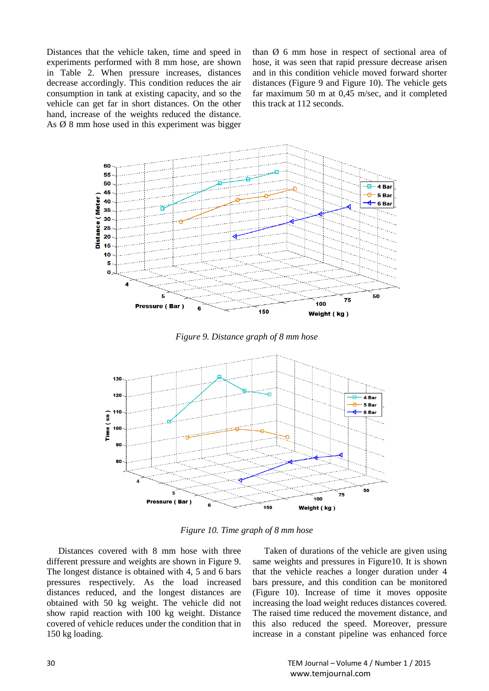Distances that the vehicle taken, time and speed in experiments performed with 8 mm hose, are shown in Table 2. When pressure increases, distances decrease accordingly. This condition reduces the air consumption in tank at existing capacity, and so the vehicle can get far in short distances. On the other hand, increase of the weights reduced the distance. As  $\varnothing$  8 mm hose used in this experiment was bigger than Ø 6 mm hose in respect of sectional area of hose, it was seen that rapid pressure decrease arisen and in this condition vehicle moved forward shorter distances (Figure 9 and Figure 10). The vehicle gets far maximum 50 m at 0,45 m/sec, and it completed this track at 112 seconds.







*Figure 10. Time graph of 8 mm hose*

Distances covered with 8 mm hose with three different pressure and weights are shown in Figure 9. The longest distance is obtained with 4, 5 and 6 bars pressures respectively. As the load increased distances reduced, and the longest distances are obtained with 50 kg weight. The vehicle did not show rapid reaction with 100 kg weight. Distance covered of vehicle reduces under the condition that in 150 kg loading.

Taken of durations of the vehicle are given using same weights and pressures in Figure10. It is shown that the vehicle reaches a longer duration under 4 bars pressure, and this condition can be monitored (Figure 10). Increase of time it moves opposite increasing the load weight reduces distances covered. The raised time reduced the movement distance, and this also reduced the speed. Moreover, pressure increase in a constant pipeline was enhanced force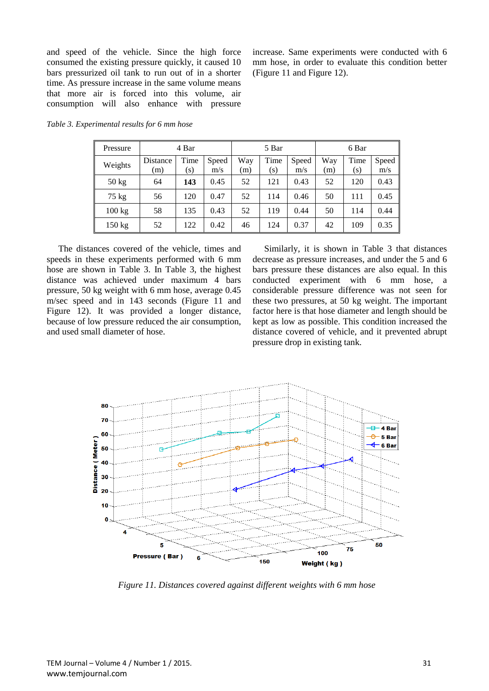and speed of the vehicle. Since the high force consumed the existing pressure quickly, it caused 10 bars pressurized oil tank to run out of in a shorter time. As pressure increase in the same volume means that more air is forced into this volume, air consumption will also enhance with pressure increase. Same experiments were conducted with 6 mm hose, in order to evaluate this condition better (Figure 11 and Figure 12).

| Pressure         | 4 Bar           |             |              | 5 Bar      |             |              | 6 Bar      |             |              |
|------------------|-----------------|-------------|--------------|------------|-------------|--------------|------------|-------------|--------------|
| Weights          | Distance<br>(m) | Time<br>(s) | Speed<br>m/s | Way<br>(m) | Time<br>(s) | Speed<br>m/s | Way<br>(m) | Time<br>(s) | Speed<br>m/s |
| $50 \text{ kg}$  | 64              | 143         | 0.45         | 52         | 121         | 0.43         | 52         | 120         | 0.43         |
| $75 \text{ kg}$  | 56              | 120         | 0.47         | 52         | 114         | 0.46         | 50         | 111         | 0.45         |
| $100 \text{ kg}$ | 58              | 135         | 0.43         | 52         | 119         | 0.44         | 50         | 114         | 0.44         |
| $150 \text{ kg}$ | 52              | 122         | 0.42         | 46         | 124         | 0.37         | 42         | 109         | 0.35         |

*Table 3. Experimental results for 6 mm hose*

The distances covered of the vehicle, times and speeds in these experiments performed with 6 mm hose are shown in Table 3. In Table 3, the highest distance was achieved under maximum 4 bars pressure, 50 kg weight with 6 mm hose, average 0.45 m/sec speed and in 143 seconds (Figure 11 and Figure 12). It was provided a longer distance, because of low pressure reduced the air consumption, and used small diameter of hose.

Similarly, it is shown in Table 3 that distances decrease as pressure increases, and under the 5 and 6 bars pressure these distances are also equal. In this conducted experiment with 6 mm hose, a considerable pressure difference was not seen for these two pressures, at 50 kg weight. The important factor here is that hose diameter and length should be kept as low as possible. This condition increased the distance covered of vehicle, and it prevented abrupt pressure drop in existing tank.



*Figure 11. Distances covered against different weights with 6 mm hose*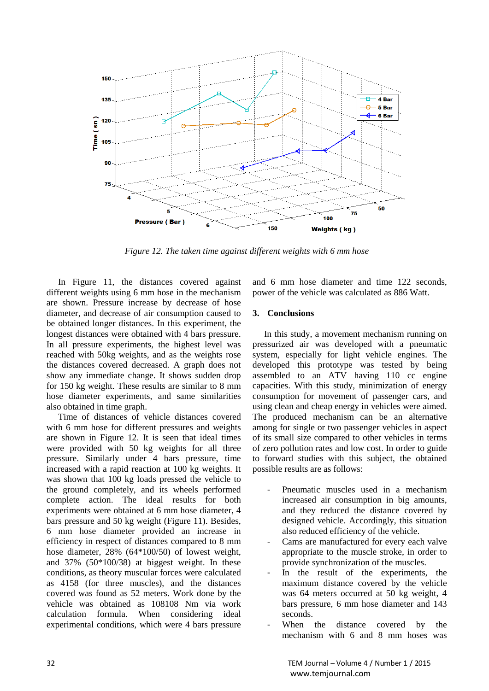

*Figure 12. The taken time against different weights with 6 mm hose*

In Figure 11, the distances covered against different weights using 6 mm hose in the mechanism are shown. Pressure increase by decrease of hose diameter, and decrease of air consumption caused to be obtained longer distances. In this experiment, the longest distances were obtained with 4 bars pressure. In all pressure experiments, the highest level was reached with 50kg weights, and as the weights rose the distances covered decreased. A graph does not show any immediate change. It shows sudden drop for 150 kg weight. These results are similar to 8 mm hose diameter experiments, and same similarities also obtained in time graph.

Time of distances of vehicle distances covered with 6 mm hose for different pressures and weights are shown in Figure 12. It is seen that ideal times were provided with 50 kg weights for all three pressure. Similarly under 4 bars pressure, time increased with a rapid reaction at 100 kg weights. It was shown that 100 kg loads pressed the vehicle to the ground completely, and its wheels performed complete action. The ideal results for both experiments were obtained at 6 mm hose diameter, 4 bars pressure and 50 kg weight (Figure 11). Besides, 6 mm hose diameter provided an increase in efficiency in respect of distances compared to 8 mm hose diameter, 28% (64\*100/50) of lowest weight, and 37% (50\*100/38) at biggest weight. In these conditions, as theory muscular forces were calculated as 4158 (for three muscles), and the distances covered was found as 52 meters. Work done by the vehicle was obtained as 108108 Nm via work calculation formula. When considering ideal experimental conditions, which were 4 bars pressure and 6 mm hose diameter and time 122 seconds, power of the vehicle was calculated as 886 Watt.

## **3. Conclusions**

In this study, a movement mechanism running on pressurized air was developed with a pneumatic system, especially for light vehicle engines. The developed this prototype was tested by being assembled to an ATV having 110 cc engine capacities. With this study, minimization of energy consumption for movement of passenger cars, and using clean and cheap energy in vehicles were aimed. The produced mechanism can be an alternative among for single or two passenger vehicles in aspect of its small size compared to other vehicles in terms of zero pollution rates and low cost. In order to guide to forward studies with this subject, the obtained possible results are as follows:

- Pneumatic muscles used in a mechanism increased air consumption in big amounts, and they reduced the distance covered by designed vehicle. Accordingly, this situation also reduced efficiency of the vehicle.
- Cams are manufactured for every each valve appropriate to the muscle stroke, in order to provide synchronization of the muscles.
- In the result of the experiments, the maximum distance covered by the vehicle was 64 meters occurred at 50 kg weight, 4 bars pressure, 6 mm hose diameter and 143 seconds.
- When the distance covered by the mechanism with 6 and 8 mm hoses was

32 TEM Journal – Volume 4 / Number 1 / 2015 www.temjournal.com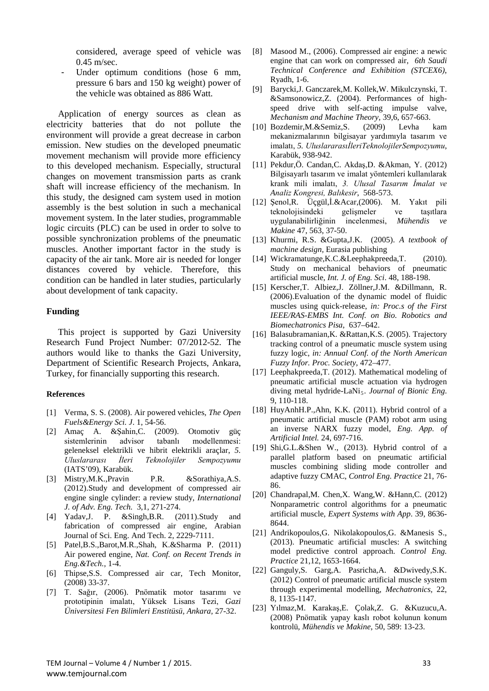considered, average speed of vehicle was 0.45 m/sec.

Under optimum conditions (hose 6 mm, pressure 6 bars and 150 kg weight) power of the vehicle was obtained as 886 Watt.

Application of energy sources as clean as electricity batteries that do not pollute the environment will provide a great decrease in carbon emission. New studies on the developed pneumatic movement mechanism will provide more efficiency to this developed mechanism. Especially, structural changes on movement transmission parts as crank shaft will increase efficiency of the mechanism. In this study, the designed cam system used in motion assembly is the best solution in such a mechanical movement system. In the later studies, programmable logic circuits (PLC) can be used in order to solve to possible synchronization problems of the pneumatic muscles. Another important factor in the study is capacity of the air tank. More air is needed for longer distances covered by vehicle. Therefore, this condition can be handled in later studies, particularly about development of tank capacity.

#### **Funding**

This project is supported by Gazi University Research Fund Project Number: 07/2012-52. The authors would like to thanks the Gazi University, Department of Scientific Research Projects, Ankara, Turkey, for financially supporting this research.

#### **References**

- [1] Verma, S. S. (2008). Air powered vehicles, *The Open Fuels&Energy Sci. J*. 1, 54-56.
- [2] Amaç A. &Şahin,C. (2009). Otomotiv güç sistemlerinin advisor tabanlı modellenmesi: geleneksel elektrikli ve hibrit elektrikli araçlar, *5. Uluslararası İleri Teknolojiler Sempozyumu* (IATS'09), Karabük.
- [3] Mistry,M.K.,Pravin P.R. &Sorathiya,A.S. (2012).Study and development of compressed air engine single cylinder: a review study, *International J. of Adv. Eng. Tech.* 3,1, 271-274.
- [4] Yadav,J. P. &Singh,B.R. (2011).Study and fabrication of compressed air engine, Arabian Journal of Sci. Eng. And Tech. 2, 2229-7111.
- [5] Patel,B.S.,Barot,M.R.,Shah, K.&Sharma P. (2011) Air powered engine, *Nat. Conf. on Recent Trends in Eng.&Tech.*, 1-4.
- [6] Thipse,S.S. Compressed air car, Tech Monitor, (2008) 33-37.
- [7] T. Sağır, (2006). Pnömatik motor tasarımı ve prototipinin imalatı, Yüksek Lisans Tezi, *Gazi Üniversitesi Fen Bilimleri Enstitüsü, Ankara,* 27-32.
- [8] Masood M., (2006). Compressed air engine: a newic engine that can work on compressed air, *6th Saudi Technical Conference and Exhibition (STCEX6)*, Ryadh, 1-6.
- [9] Barycki,J. Ganczarek,M. Kollek,W. Mikulczynski, T. &Samsonowicz,Z. (2004). Performances of highspeed drive with self-acting impulse valve, *Mechanism and Machine Theory,* 39,6, 657-663.
- [10] Bozdemir,M.&Semiz,S. (2009) Levha kam mekanizmalarının bilgisayar yardımıyla tasarım ve imalatı, *5. UluslararasıİleriTeknolojilerSempozyumu*, Karabük, 938-942.
- [11] Pekdur,Ö. Candan,C. Akdaş,D. &Akman, Y. (2012) Bilgisayarlı tasarım ve imalat yöntemleri kullanılarak krank mili imalatı, *3. Ulusal Tasarım İmalat ve Analiz Kongresi, Balıkesir*, 568-573.
- [12] Şenol,R. Üçgül,İ.&Acar,(2006). M. Yakıt pili teknolojisindeki gelişmeler ve taşıtlara uygulanabilirliğinin incelenmesi, *Mühendis ve Makine* 47, 563, 37-50.
- [13] Khurmi, R.S. &Gupta,J.K. (2005). *A textbook of machine design,* Eurasia publishing
- [14] Wickramatunge,K.C.&Leephakpreeda,T. (2010). Study on mechanical behaviors of pneumatic artificial muscle, *Int. J. of Eng. Sci*. 48, 188-198.
- [15] Kerscher,T. Albiez,J. Zöllner,J.M. &Dillmann, R. (2006).Evaluation of the dynamic model of fluidic muscles using quick-release, *in: Proc.s of the First IEEE/RAS-EMBS Int. Conf. on Bio. Robotics and Biomechatronics Pisa*, 637–642.
- [16] Balasubramanian, K. & Rattan, K.S. (2005). Trajectory tracking control of a pneumatic muscle system using fuzzy logic, *in: Annual Conf. of the North American Fuzzy Infor. Proc. Society*, 472–477.
- [17] Leephakpreeda,T. (2012). Mathematical modeling of pneumatic artificial muscle actuation via hydrogen diving metal hydride-LaNi<sub>5</sub>. *Journal of Bionic Eng.* 9, 110-118.
- [18] HuyAnhH.P.,Ahn, K.K. (2011). Hybrid control of a pneumatic artificial muscle (PAM) robot arm using an inverse NARX fuzzy model, *Eng. App. of Artificial Intel.* 24, 697-716.
- [19] Shi,G.L.&Shen W., (2013). Hybrid control of a parallel platform based on pneumatic artificial muscles combining sliding mode controller and adaptive fuzzy CMAC, *Control Eng. Practice* 21, 76- 86.
- [20] Chandrapal, M. Chen, X. Wang, W. & Hann, C. (2012) Nonparametric control algorithms for a pneumatic artificial muscle, *Expert Systems with App*. 39, 8636- 8644.
- [21] Andrikopoulos,G. Nikolakopoulos,G. &Manesis S., (2013). Pneumatic artificial muscles: A switching model predictive control approach. *Control Eng. Practice* 21,12, 1653-1664.
- [22] Ganguly,S. Garg,A. Pasricha,A. &Dwivedy,S.K. (2012) Control of pneumatic artificial muscle system through experimental modelling, *Mechatronics,* 22, 8, 1135-1147.
- [23] Yılmaz,M. Karakaş,E. Çolak,Z. G. &Kuzucu,A. (2008) Pnömatik yapay kaslı robot kolunun konum kontrolü, *Mühendis ve Makine*, 50, 589: 13-23.